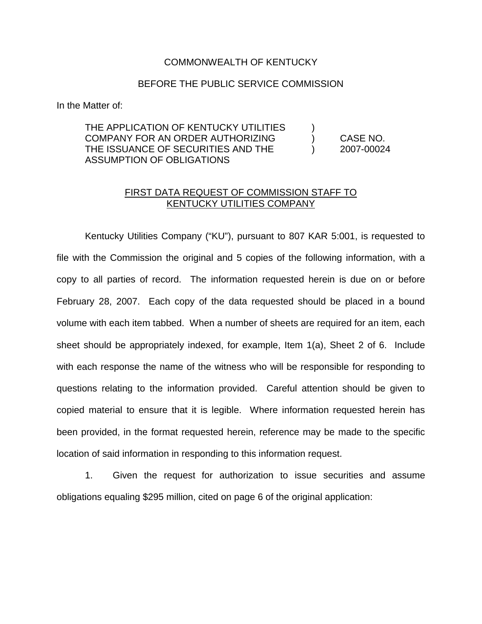## COMMONWEALTH OF KENTUCKY

## BEFORE THE PUBLIC SERVICE COMMISSION

In the Matter of:

## THE APPLICATION OF KENTUCKY UTILITIES COMPANY FOR AN ORDER AUTHORIZING ) CASE NO. THE ISSUANCE OF SECURITIES AND THE ) 2007-00024 ASSUMPTION OF OBLIGATIONS

## FIRST DATA REQUEST OF COMMISSION STAFF TO KENTUCKY UTILITIES COMPANY

Kentucky Utilities Company ("KU"), pursuant to 807 KAR 5:001, is requested to file with the Commission the original and 5 copies of the following information, with a copy to all parties of record. The information requested herein is due on or before February 28, 2007. Each copy of the data requested should be placed in a bound volume with each item tabbed. When a number of sheets are required for an item, each sheet should be appropriately indexed, for example, Item 1(a), Sheet 2 of 6. Include with each response the name of the witness who will be responsible for responding to questions relating to the information provided. Careful attention should be given to copied material to ensure that it is legible. Where information requested herein has been provided, in the format requested herein, reference may be made to the specific location of said information in responding to this information request.

1. Given the request for authorization to issue securities and assume obligations equaling \$295 million, cited on page 6 of the original application: